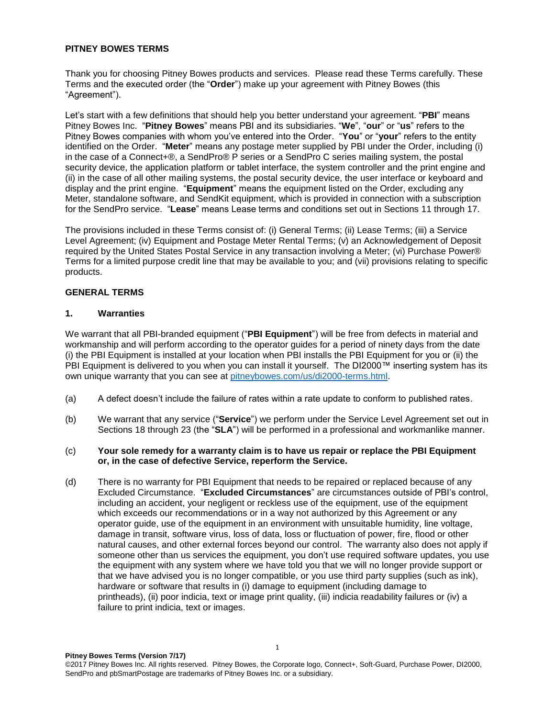### **PITNEY BOWES TERMS**

Thank you for choosing Pitney Bowes products and services. Please read these Terms carefully. These Terms and the executed order (the "**Order**") make up your agreement with Pitney Bowes (this "Agreement").

Let's start with a few definitions that should help you better understand your agreement. "**PBI**" means Pitney Bowes Inc. "**Pitney Bowes**" means PBI and its subsidiaries. "**We**", "**our**" or "**us**" refers to the Pitney Bowes companies with whom you've entered into the Order. "**You**" or "**your**" refers to the entity identified on the Order. "**Meter**" means any postage meter supplied by PBI under the Order, including (i) in the case of a Connect+®, a SendPro® P series or a SendPro C series mailing system, the postal security device, the application platform or tablet interface, the system controller and the print engine and (ii) in the case of all other mailing systems, the postal security device, the user interface or keyboard and display and the print engine. "**Equipment**" means the equipment listed on the Order, excluding any Meter, standalone software, and SendKit equipment, which is provided in connection with a subscription for the SendPro service. "**Lease**" means Lease terms and conditions set out in Sections 11 through 17.

The provisions included in these Terms consist of: (i) General Terms; (ii) Lease Terms; (iii) a Service Level Agreement; (iv) Equipment and Postage Meter Rental Terms; (v) an Acknowledgement of Deposit required by the United States Postal Service in any transaction involving a Meter; (vi) Purchase Power® Terms for a limited purpose credit line that may be available to you; and (vii) provisions relating to specific products.

### **GENERAL TERMS**

### **1. Warranties**

We warrant that all PBI-branded equipment ("**PBI Equipment**") will be free from defects in material and workmanship and will perform according to the operator guides for a period of ninety days from the date (i) the PBI Equipment is installed at your location when PBI installs the PBI Equipment for you or (ii) the PBI Equipment is delivered to you when you can install it yourself. The DI2000™ inserting system has its own unique warranty that you can see at [pitneybowes.com/us/di2000-terms.html.](http://www.pitneybowes.com/us/di2000-terms.html)

- (a) A defect doesn't include the failure of rates within a rate update to conform to published rates.
- (b) We warrant that any service ("**Service**") we perform under the Service Level Agreement set out in Sections 18 through 23 (the "**SLA**") will be performed in a professional and workmanlike manner.
- (c) **Your sole remedy for a warranty claim is to have us repair or replace the PBI Equipment or, in the case of defective Service, reperform the Service.**
- (d) There is no warranty for PBI Equipment that needs to be repaired or replaced because of any Excluded Circumstance. "**Excluded Circumstances**" are circumstances outside of PBI's control, including an accident, your negligent or reckless use of the equipment, use of the equipment which exceeds our recommendations or in a way not authorized by this Agreement or any operator guide, use of the equipment in an environment with unsuitable humidity, line voltage, damage in transit, software virus, loss of data, loss or fluctuation of power, fire, flood or other natural causes, and other external forces beyond our control. The warranty also does not apply if someone other than us services the equipment, you don't use required software updates, you use the equipment with any system where we have told you that we will no longer provide support or that we have advised you is no longer compatible, or you use third party supplies (such as ink), hardware or software that results in (i) damage to equipment (including damage to printheads), (ii) poor indicia, text or image print quality, (iii) indicia readability failures or (iv) a failure to print indicia, text or images.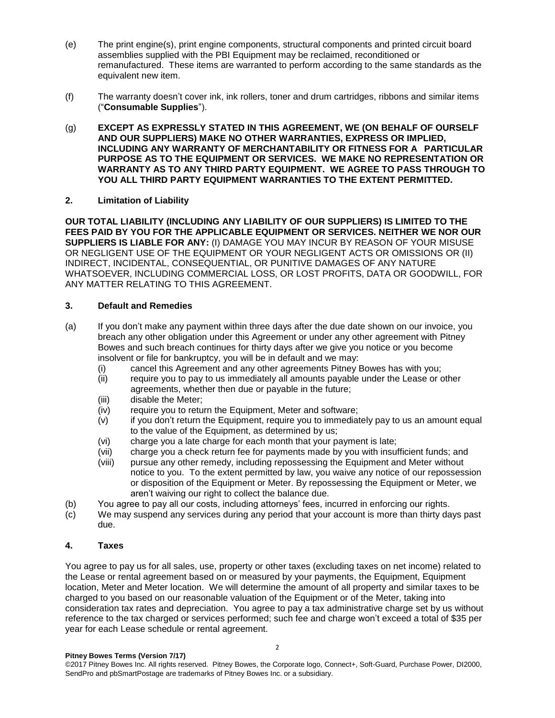- (e) The print engine(s), print engine components, structural components and printed circuit board assemblies supplied with the PBI Equipment may be reclaimed, reconditioned or remanufactured. These items are warranted to perform according to the same standards as the equivalent new item.
- (f) The warranty doesn't cover ink, ink rollers, toner and drum cartridges, ribbons and similar items ("**Consumable Supplies**").
- (g) **EXCEPT AS EXPRESSLY STATED IN THIS AGREEMENT, WE (ON BEHALF OF OURSELF AND OUR SUPPLIERS) MAKE NO OTHER WARRANTIES, EXPRESS OR IMPLIED, INCLUDING ANY WARRANTY OF MERCHANTABILITY OR FITNESS FOR A PARTICULAR PURPOSE AS TO THE EQUIPMENT OR SERVICES. WE MAKE NO REPRESENTATION OR WARRANTY AS TO ANY THIRD PARTY EQUIPMENT. WE AGREE TO PASS THROUGH TO YOU ALL THIRD PARTY EQUIPMENT WARRANTIES TO THE EXTENT PERMITTED.**

### **2. Limitation of Liability**

**OUR TOTAL LIABILITY (INCLUDING ANY LIABILITY OF OUR SUPPLIERS) IS LIMITED TO THE FEES PAID BY YOU FOR THE APPLICABLE EQUIPMENT OR SERVICES. NEITHER WE NOR OUR SUPPLIERS IS LIABLE FOR ANY:** (I) DAMAGE YOU MAY INCUR BY REASON OF YOUR MISUSE OR NEGLIGENT USE OF THE EQUIPMENT OR YOUR NEGLIGENT ACTS OR OMISSIONS OR (II) INDIRECT, INCIDENTAL, CONSEQUENTIAL, OR PUNITIVE DAMAGES OF ANY NATURE WHATSOEVER, INCLUDING COMMERCIAL LOSS, OR LOST PROFITS, DATA OR GOODWILL, FOR ANY MATTER RELATING TO THIS AGREEMENT.

### **3. Default and Remedies**

- (a) If you don't make any payment within three days after the due date shown on our invoice, you breach any other obligation under this Agreement or under any other agreement with Pitney Bowes and such breach continues for thirty days after we give you notice or you become insolvent or file for bankruptcy, you will be in default and we may:
	- (i) cancel this Agreement and any other agreements Pitney Bowes has with you;
	- (ii) require you to pay to us immediately all amounts payable under the Lease or other agreements, whether then due or payable in the future;
	- (iii) disable the Meter;
	- (iv) require you to return the Equipment, Meter and software;
	- (v) if you don't return the Equipment, require you to immediately pay to us an amount equal to the value of the Equipment, as determined by us;
	- (vi) charge you a late charge for each month that your payment is late;
	- (vii) charge you a check return fee for payments made by you with insufficient funds; and
	- (viii) pursue any other remedy, including repossessing the Equipment and Meter without notice to you. To the extent permitted by law, you waive any notice of our repossession or disposition of the Equipment or Meter. By repossessing the Equipment or Meter, we aren't waiving our right to collect the balance due.
- (b) You agree to pay all our costs, including attorneys' fees, incurred in enforcing our rights.
- (c) We may suspend any services during any period that your account is more than thirty days past due.

### **4. Taxes**

You agree to pay us for all sales, use, property or other taxes (excluding taxes on net income) related to the Lease or rental agreement based on or measured by your payments, the Equipment, Equipment location, Meter and Meter location. We will determine the amount of all property and similar taxes to be charged to you based on our reasonable valuation of the Equipment or of the Meter, taking into consideration tax rates and depreciation. You agree to pay a tax administrative charge set by us without reference to the tax charged or services performed; such fee and charge won't exceed a total of \$35 per year for each Lease schedule or rental agreement.

©2017 Pitney Bowes Inc. All rights reserved. Pitney Bowes, the Corporate logo, Connect+, Soft-Guard, Purchase Power, DI2000, SendPro and pbSmartPostage are trademarks of Pitney Bowes Inc. or a subsidiary.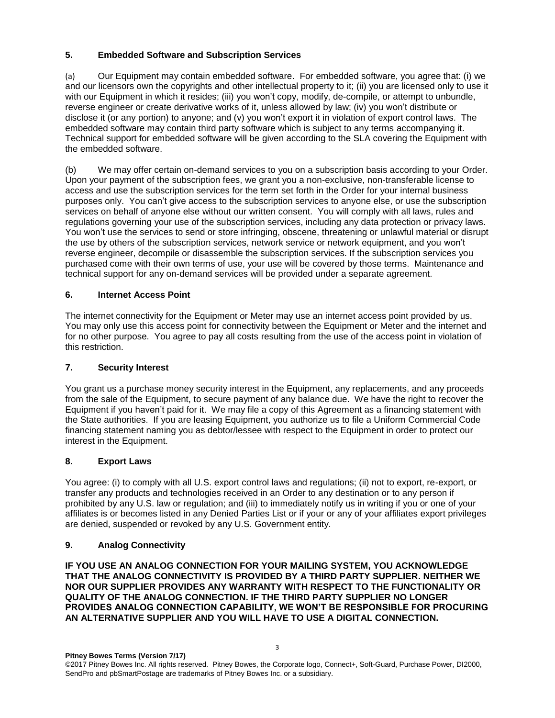# **5. Embedded Software and Subscription Services**

(a) Our Equipment may contain embedded software. For embedded software, you agree that: (i) we and our licensors own the copyrights and other intellectual property to it; (ii) you are licensed only to use it with our Equipment in which it resides; (iii) you won't copy, modify, de-compile, or attempt to unbundle, reverse engineer or create derivative works of it, unless allowed by law; (iv) you won't distribute or disclose it (or any portion) to anyone; and (v) you won't export it in violation of export control laws. The embedded software may contain third party software which is subject to any terms accompanying it. Technical support for embedded software will be given according to the SLA covering the Equipment with the embedded software.

(b) We may offer certain on-demand services to you on a subscription basis according to your Order. Upon your payment of the subscription fees, we grant you a non-exclusive, non-transferable license to access and use the subscription services for the term set forth in the Order for your internal business purposes only. You can't give access to the subscription services to anyone else, or use the subscription services on behalf of anyone else without our written consent. You will comply with all laws, rules and regulations governing your use of the subscription services, including any data protection or privacy laws. You won't use the services to send or store infringing, obscene, threatening or unlawful material or disrupt the use by others of the subscription services, network service or network equipment, and you won't reverse engineer, decompile or disassemble the subscription services. If the subscription services you purchased come with their own terms of use, your use will be covered by those terms. Maintenance and technical support for any on-demand services will be provided under a separate agreement.

## **6. Internet Access Point**

The internet connectivity for the Equipment or Meter may use an internet access point provided by us. You may only use this access point for connectivity between the Equipment or Meter and the internet and for no other purpose. You agree to pay all costs resulting from the use of the access point in violation of this restriction.

## **7. Security Interest**

You grant us a purchase money security interest in the Equipment, any replacements, and any proceeds from the sale of the Equipment, to secure payment of any balance due. We have the right to recover the Equipment if you haven't paid for it. We may file a copy of this Agreement as a financing statement with the State authorities. If you are leasing Equipment, you authorize us to file a Uniform Commercial Code financing statement naming you as debtor/lessee with respect to the Equipment in order to protect our interest in the Equipment.

## **8. Export Laws**

You agree: (i) to comply with all U.S. export control laws and regulations; (ii) not to export, re-export, or transfer any products and technologies received in an Order to any destination or to any person if prohibited by any U.S. law or regulation; and (iii) to immediately notify us in writing if you or one of your affiliates is or becomes listed in any Denied Parties List or if your or any of your affiliates export privileges are denied, suspended or revoked by any U.S. Government entity.

## **9. Analog Connectivity**

**IF YOU USE AN ANALOG CONNECTION FOR YOUR MAILING SYSTEM, YOU ACKNOWLEDGE THAT THE ANALOG CONNECTIVITY IS PROVIDED BY A THIRD PARTY SUPPLIER. NEITHER WE NOR OUR SUPPLIER PROVIDES ANY WARRANTY WITH RESPECT TO THE FUNCTIONALITY OR QUALITY OF THE ANALOG CONNECTION. IF THE THIRD PARTY SUPPLIER NO LONGER PROVIDES ANALOG CONNECTION CAPABILITY, WE WON'T BE RESPONSIBLE FOR PROCURING AN ALTERNATIVE SUPPLIER AND YOU WILL HAVE TO USE A DIGITAL CONNECTION.**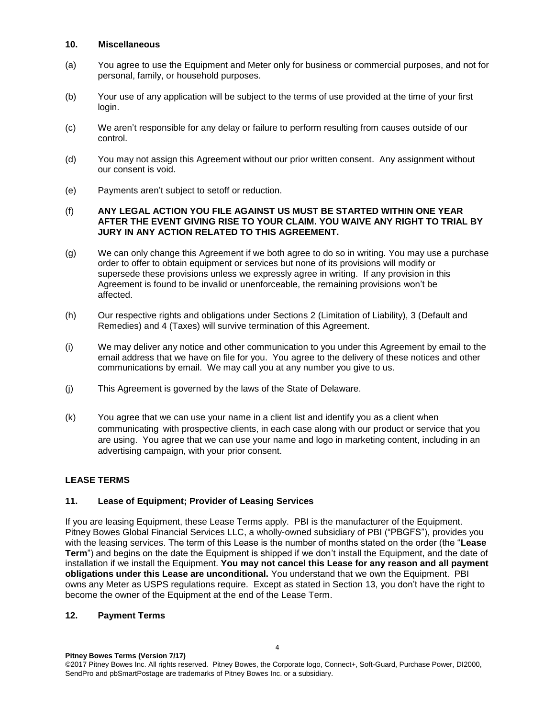### **10. Miscellaneous**

- (a) You agree to use the Equipment and Meter only for business or commercial purposes, and not for personal, family, or household purposes.
- (b) Your use of any application will be subject to the terms of use provided at the time of your first login.
- (c) We aren't responsible for any delay or failure to perform resulting from causes outside of our control.
- (d) You may not assign this Agreement without our prior written consent. Any assignment without our consent is void.
- (e) Payments aren't subject to setoff or reduction.

### (f) **ANY LEGAL ACTION YOU FILE AGAINST US MUST BE STARTED WITHIN ONE YEAR AFTER THE EVENT GIVING RISE TO YOUR CLAIM. YOU WAIVE ANY RIGHT TO TRIAL BY JURY IN ANY ACTION RELATED TO THIS AGREEMENT.**

- (g) We can only change this Agreement if we both agree to do so in writing. You may use a purchase order to offer to obtain equipment or services but none of its provisions will modify or supersede these provisions unless we expressly agree in writing. If any provision in this Agreement is found to be invalid or unenforceable, the remaining provisions won't be affected.
- (h) Our respective rights and obligations under Sections 2 (Limitation of Liability), 3 (Default and Remedies) and 4 (Taxes) will survive termination of this Agreement.
- (i) We may deliver any notice and other communication to you under this Agreement by email to the email address that we have on file for you. You agree to the delivery of these notices and other communications by email. We may call you at any number you give to us.
- (j) This Agreement is governed by the laws of the State of Delaware.
- (k) You agree that we can use your name in a client list and identify you as a client when communicating with prospective clients, in each case along with our product or service that you are using. You agree that we can use your name and logo in marketing content, including in an advertising campaign, with your prior consent.

## **LEASE TERMS**

## **11. Lease of Equipment; Provider of Leasing Services**

If you are leasing Equipment, these Lease Terms apply. PBI is the manufacturer of the Equipment. Pitney Bowes Global Financial Services LLC, a wholly-owned subsidiary of PBI ("PBGFS"), provides you with the leasing services. The term of this Lease is the number of months stated on the order (the "**Lease Term**") and begins on the date the Equipment is shipped if we don't install the Equipment, and the date of installation if we install the Equipment. **You may not cancel this Lease for any reason and all payment obligations under this Lease are unconditional.** You understand that we own the Equipment. PBI owns any Meter as USPS regulations require. Except as stated in Section 13, you don't have the right to become the owner of the Equipment at the end of the Lease Term.

### **12. Payment Terms**

**Pitney Bowes Terms (Version 7/17)** ©2017 Pitney Bowes Inc. All rights reserved. Pitney Bowes, the Corporate logo, Connect+, Soft-Guard, Purchase Power, DI2000, SendPro and pbSmartPostage are trademarks of Pitney Bowes Inc. or a subsidiary.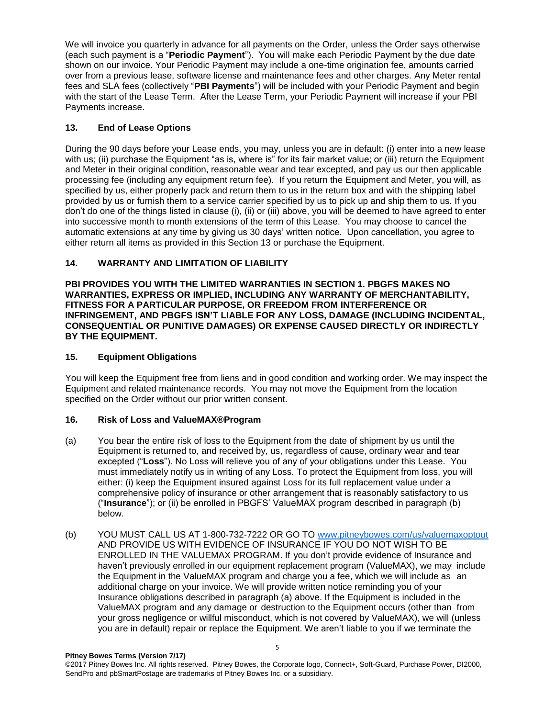We will invoice you quarterly in advance for all payments on the Order, unless the Order says otherwise (each such payment is a "**Periodic Payment**"). You will make each Periodic Payment by the due date shown on our invoice. Your Periodic Payment may include a one-time origination fee, amounts carried over from a previous lease, software license and maintenance fees and other charges. Any Meter rental fees and SLA fees (collectively "**PBI Payments**") will be included with your Periodic Payment and begin with the start of the Lease Term. After the Lease Term, your Periodic Payment will increase if your PBI Payments increase.

## **13. End of Lease Options**

During the 90 days before your Lease ends, you may, unless you are in default: (i) enter into a new lease with us; (ii) purchase the Equipment "as is, where is" for its fair market value; or (iii) return the Equipment and Meter in their original condition, reasonable wear and tear excepted, and pay us our then applicable processing fee (including any equipment return fee). If you return the Equipment and Meter, you will, as specified by us, either properly pack and return them to us in the return box and with the shipping label provided by us or furnish them to a service carrier specified by us to pick up and ship them to us. If you don't do one of the things listed in clause (i), (ii) or (iii) above, you will be deemed to have agreed to enter into successive month to month extensions of the term of this Lease. You may choose to cancel the automatic extensions at any time by giving us 30 days' written notice. Upon cancellation, you agree to either return all items as provided in this Section 13 or purchase the Equipment.

# **14. WARRANTY AND LIMITATION OF LIABILITY**

**PBI PROVIDES YOU WITH THE LIMITED WARRANTIES IN SECTION 1. PBGFS MAKES NO WARRANTIES, EXPRESS OR IMPLIED, INCLUDING ANY WARRANTY OF MERCHANTABILITY, FITNESS FOR A PARTICULAR PURPOSE, OR FREEDOM FROM INTERFERENCE OR INFRINGEMENT, AND PBGFS ISN'T LIABLE FOR ANY LOSS, DAMAGE (INCLUDING INCIDENTAL, CONSEQUENTIAL OR PUNITIVE DAMAGES) OR EXPENSE CAUSED DIRECTLY OR INDIRECTLY BY THE EQUIPMENT.**

### **15. Equipment Obligations**

You will keep the Equipment free from liens and in good condition and working order. We may inspect the Equipment and related maintenance records. You may not move the Equipment from the location specified on the Order without our prior written consent.

## **16. Risk of Loss and ValueMAX®Program**

- (a) You bear the entire risk of loss to the Equipment from the date of shipment by us until the Equipment is returned to, and received by, us, regardless of cause, ordinary wear and tear excepted ("**Loss**"). No Loss will relieve you of any of your obligations under this Lease. You must immediately notify us in writing of any Loss. To protect the Equipment from loss, you will either: (i) keep the Equipment insured against Loss for its full replacement value under a comprehensive policy of insurance or other arrangement that is reasonably satisfactory to us ("**Insurance**"); or (ii) be enrolled in PBGFS' ValueMAX program described in paragraph (b) below.
- (b) YOU MUST CALL US AT 1-800-732-7222 OR GO TO [www.pitneybowes.com/us/valuemaxoptout](http://www.pitneybowes.com/us/valuemaxoptout) AND PROVIDE US WITH EVIDENCE OF INSURANCE IF YOU DO NOT WISH TO BE ENROLLED IN THE VALUEMAX PROGRAM. If you don't provide evidence of Insurance and haven't previously enrolled in our equipment replacement program (ValueMAX), we may include the Equipment in the ValueMAX program and charge you a fee, which we will include as an additional charge on your invoice. We will provide written notice reminding you of your Insurance obligations described in paragraph (a) above. If the Equipment is included in the ValueMAX program and any damage or destruction to the Equipment occurs (other than from your gross negligence or willful misconduct, which is not covered by ValueMAX), we will (unless you are in default) repair or replace the Equipment. We aren't liable to you if we terminate the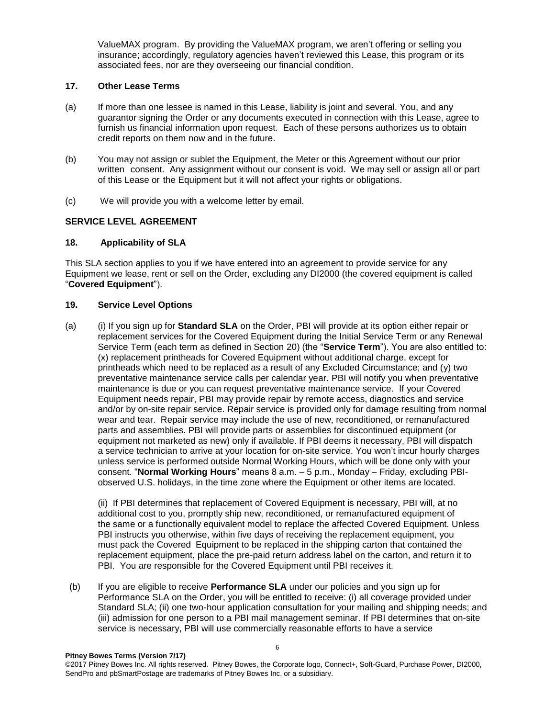ValueMAX program. By providing the ValueMAX program, we aren't offering or selling you insurance; accordingly, regulatory agencies haven't reviewed this Lease, this program or its associated fees, nor are they overseeing our financial condition.

### **17. Other Lease Terms**

- (a) If more than one lessee is named in this Lease, liability is joint and several. You, and any guarantor signing the Order or any documents executed in connection with this Lease, agree to furnish us financial information upon request. Each of these persons authorizes us to obtain credit reports on them now and in the future.
- (b) You may not assign or sublet the Equipment, the Meter or this Agreement without our prior written consent. Any assignment without our consent is void. We may sell or assign all or part of this Lease or the Equipment but it will not affect your rights or obligations.
- (c) We will provide you with a welcome letter by email.

## **SERVICE LEVEL AGREEMENT**

### **18. Applicability of SLA**

This SLA section applies to you if we have entered into an agreement to provide service for any Equipment we lease, rent or sell on the Order, excluding any DI2000 (the covered equipment is called "**Covered Equipment**").

### **19. Service Level Options**

(a) (i) If you sign up for **Standard SLA** on the Order, PBI will provide at its option either repair or replacement services for the Covered Equipment during the Initial Service Term or any Renewal Service Term (each term as defined in Section 20) (the "**Service Term**"). You are also entitled to: (x) replacement printheads for Covered Equipment without additional charge, except for printheads which need to be replaced as a result of any Excluded Circumstance; and (y) two preventative maintenance service calls per calendar year. PBI will notify you when preventative maintenance is due or you can request preventative maintenance service. If your Covered Equipment needs repair, PBI may provide repair by remote access, diagnostics and service and/or by on-site repair service. Repair service is provided only for damage resulting from normal wear and tear. Repair service may include the use of new, reconditioned, or remanufactured parts and assemblies. PBI will provide parts or assemblies for discontinued equipment (or equipment not marketed as new) only if available. If PBI deems it necessary, PBI will dispatch a service technician to arrive at your location for on-site service. You won't incur hourly charges unless service is performed outside Normal Working Hours, which will be done only with your consent. "**Normal Working Hours**" means 8 a.m. – 5 p.m., Monday – Friday, excluding PBIobserved U.S. holidays, in the time zone where the Equipment or other items are located.

(ii) If PBI determines that replacement of Covered Equipment is necessary, PBI will, at no additional cost to you, promptly ship new, reconditioned, or remanufactured equipment of the same or a functionally equivalent model to replace the affected Covered Equipment. Unless PBI instructs you otherwise, within five days of receiving the replacement equipment, you must pack the Covered Equipment to be replaced in the shipping carton that contained the replacement equipment, place the pre-paid return address label on the carton, and return it to PBI. You are responsible for the Covered Equipment until PBI receives it.

(b) If you are eligible to receive **Performance SLA** under our policies and you sign up for Performance SLA on the Order, you will be entitled to receive: (i) all coverage provided under Standard SLA; (ii) one two-hour application consultation for your mailing and shipping needs; and (iii) admission for one person to a PBI mail management seminar. If PBI determines that on-site service is necessary, PBI will use commercially reasonable efforts to have a service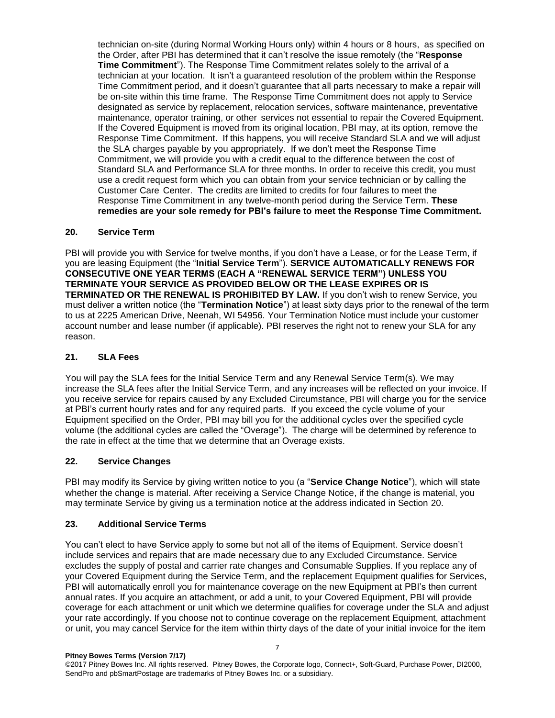technician on-site (during Normal Working Hours only) within 4 hours or 8 hours, as specified on the Order, after PBI has determined that it can't resolve the issue remotely (the "**Response Time Commitment**"). The Response Time Commitment relates solely to the arrival of a technician at your location. It isn't a guaranteed resolution of the problem within the Response Time Commitment period, and it doesn't guarantee that all parts necessary to make a repair will be on-site within this time frame. The Response Time Commitment does not apply to Service designated as service by replacement, relocation services, software maintenance, preventative maintenance, operator training, or other services not essential to repair the Covered Equipment. If the Covered Equipment is moved from its original location, PBI may, at its option, remove the Response Time Commitment. If this happens, you will receive Standard SLA and we will adjust the SLA charges payable by you appropriately. If we don't meet the Response Time Commitment, we will provide you with a credit equal to the difference between the cost of Standard SLA and Performance SLA for three months. In order to receive this credit, you must use a credit request form which you can obtain from your service technician or by calling the Customer Care Center. The credits are limited to credits for four failures to meet the Response Time Commitment in any twelve-month period during the Service Term. **These remedies are your sole remedy for PBI's failure to meet the Response Time Commitment.**

### **20. Service Term**

PBI will provide you with Service for twelve months, if you don't have a Lease, or for the Lease Term, if you are leasing Equipment (the "**Initial Service Term**"). **SERVICE AUTOMATICALLY RENEWS FOR CONSECUTIVE ONE YEAR TERMS (EACH A "RENEWAL SERVICE TERM") UNLESS YOU TERMINATE YOUR SERVICE AS PROVIDED BELOW OR THE LEASE EXPIRES OR IS TERMINATED OR THE RENEWAL IS PROHIBITED BY LAW.** If you don't wish to renew Service, you must deliver a written notice (the "**Termination Notice**") at least sixty days prior to the renewal of the term to us at 2225 American Drive, Neenah, WI 54956. Your Termination Notice must include your customer account number and lease number (if applicable). PBI reserves the right not to renew your SLA for any reason.

### **21. SLA Fees**

You will pay the SLA fees for the Initial Service Term and any Renewal Service Term(s). We may increase the SLA fees after the Initial Service Term, and any increases will be reflected on your invoice. If you receive service for repairs caused by any Excluded Circumstance, PBI will charge you for the service at PBI's current hourly rates and for any required parts. If you exceed the cycle volume of your Equipment specified on the Order, PBI may bill you for the additional cycles over the specified cycle volume (the additional cycles are called the "Overage"). The charge will be determined by reference to the rate in effect at the time that we determine that an Overage exists.

## **22. Service Changes**

PBI may modify its Service by giving written notice to you (a "**Service Change Notice**"), which will state whether the change is material. After receiving a Service Change Notice, if the change is material, you may terminate Service by giving us a termination notice at the address indicated in Section 20.

### **23. Additional Service Terms**

You can't elect to have Service apply to some but not all of the items of Equipment. Service doesn't include services and repairs that are made necessary due to any Excluded Circumstance. Service excludes the supply of postal and carrier rate changes and Consumable Supplies. If you replace any of your Covered Equipment during the Service Term, and the replacement Equipment qualifies for Services, PBI will automatically enroll you for maintenance coverage on the new Equipment at PBI's then current annual rates. If you acquire an attachment, or add a unit, to your Covered Equipment, PBI will provide coverage for each attachment or unit which we determine qualifies for coverage under the SLA and adjust your rate accordingly. If you choose not to continue coverage on the replacement Equipment, attachment or unit, you may cancel Service for the item within thirty days of the date of your initial invoice for the item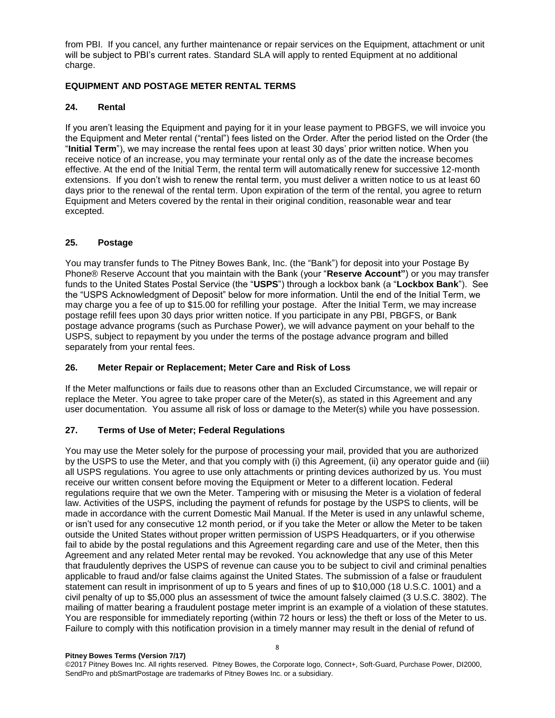from PBI. If you cancel, any further maintenance or repair services on the Equipment, attachment or unit will be subject to PBI's current rates. Standard SLA will apply to rented Equipment at no additional charge.

### **EQUIPMENT AND POSTAGE METER RENTAL TERMS**

### **24. Rental**

If you aren't leasing the Equipment and paying for it in your lease payment to PBGFS, we will invoice you the Equipment and Meter rental ("rental") fees listed on the Order. After the period listed on the Order (the "**Initial Term**"), we may increase the rental fees upon at least 30 days' prior written notice. When you receive notice of an increase, you may terminate your rental only as of the date the increase becomes effective. At the end of the Initial Term, the rental term will automatically renew for successive 12-month extensions. If you don't wish to renew the rental term, you must deliver a written notice to us at least 60 days prior to the renewal of the rental term. Upon expiration of the term of the rental, you agree to return Equipment and Meters covered by the rental in their original condition, reasonable wear and tear excepted.

### **25. Postage**

You may transfer funds to The Pitney Bowes Bank, Inc. (the "Bank") for deposit into your Postage By Phone® Reserve Account that you maintain with the Bank (your "**Reserve Account"**) or you may transfer funds to the United States Postal Service (the "**USPS**") through a lockbox bank (a "**Lockbox Bank**"). See the "USPS Acknowledgment of Deposit" below for more information. Until the end of the Initial Term, we may charge you a fee of up to \$15.00 for refilling your postage. After the Initial Term, we may increase postage refill fees upon 30 days prior written notice. If you participate in any PBI, PBGFS, or Bank postage advance programs (such as Purchase Power), we will advance payment on your behalf to the USPS, subject to repayment by you under the terms of the postage advance program and billed separately from your rental fees.

### **26. Meter Repair or Replacement; Meter Care and Risk of Loss**

If the Meter malfunctions or fails due to reasons other than an Excluded Circumstance, we will repair or replace the Meter. You agree to take proper care of the Meter(s), as stated in this Agreement and any user documentation. You assume all risk of loss or damage to the Meter(s) while you have possession.

## **27. Terms of Use of Meter; Federal Regulations**

You may use the Meter solely for the purpose of processing your mail, provided that you are authorized by the USPS to use the Meter, and that you comply with (i) this Agreement, (ii) any operator guide and (iii) all USPS regulations. You agree to use only attachments or printing devices authorized by us. You must receive our written consent before moving the Equipment or Meter to a different location. Federal regulations require that we own the Meter. Tampering with or misusing the Meter is a violation of federal law. Activities of the USPS, including the payment of refunds for postage by the USPS to clients, will be made in accordance with the current Domestic Mail Manual. If the Meter is used in any unlawful scheme, or isn't used for any consecutive 12 month period, or if you take the Meter or allow the Meter to be taken outside the United States without proper written permission of USPS Headquarters, or if you otherwise fail to abide by the postal regulations and this Agreement regarding care and use of the Meter, then this Agreement and any related Meter rental may be revoked. You acknowledge that any use of this Meter that fraudulently deprives the USPS of revenue can cause you to be subject to civil and criminal penalties applicable to fraud and/or false claims against the United States. The submission of a false or fraudulent statement can result in imprisonment of up to 5 years and fines of up to \$10,000 (18 U.S.C. 1001) and a civil penalty of up to \$5,000 plus an assessment of twice the amount falsely claimed (3 U.S.C. 3802). The mailing of matter bearing a fraudulent postage meter imprint is an example of a violation of these statutes. You are responsible for immediately reporting (within 72 hours or less) the theft or loss of the Meter to us. Failure to comply with this notification provision in a timely manner may result in the denial of refund of

©2017 Pitney Bowes Inc. All rights reserved. Pitney Bowes, the Corporate logo, Connect+, Soft-Guard, Purchase Power, DI2000, SendPro and pbSmartPostage are trademarks of Pitney Bowes Inc. or a subsidiary.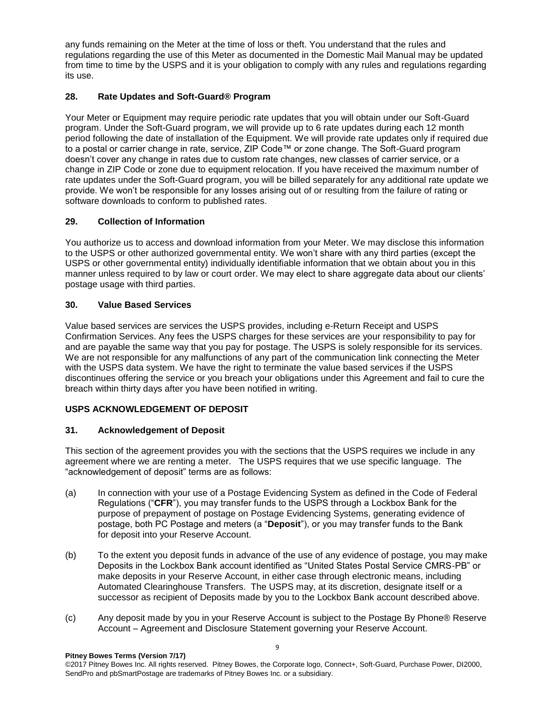any funds remaining on the Meter at the time of loss or theft. You understand that the rules and regulations regarding the use of this Meter as documented in the Domestic Mail Manual may be updated from time to time by the USPS and it is your obligation to comply with any rules and regulations regarding its use.

## **28. Rate Updates and Soft-Guard® Program**

Your Meter or Equipment may require periodic rate updates that you will obtain under our Soft-Guard program. Under the Soft-Guard program, we will provide up to 6 rate updates during each 12 month period following the date of installation of the Equipment. We will provide rate updates only if required due to a postal or carrier change in rate, service, ZIP Code™ or zone change. The Soft-Guard program doesn't cover any change in rates due to custom rate changes, new classes of carrier service, or a change in ZIP Code or zone due to equipment relocation. If you have received the maximum number of rate updates under the Soft-Guard program, you will be billed separately for any additional rate update we provide. We won't be responsible for any losses arising out of or resulting from the failure of rating or software downloads to conform to published rates.

# **29. Collection of Information**

You authorize us to access and download information from your Meter. We may disclose this information to the USPS or other authorized governmental entity. We won't share with any third parties (except the USPS or other governmental entity) individually identifiable information that we obtain about you in this manner unless required to by law or court order. We may elect to share aggregate data about our clients' postage usage with third parties.

# **30. Value Based Services**

Value based services are services the USPS provides, including e-Return Receipt and USPS Confirmation Services. Any fees the USPS charges for these services are your responsibility to pay for and are payable the same way that you pay for postage. The USPS is solely responsible for its services. We are not responsible for any malfunctions of any part of the communication link connecting the Meter with the USPS data system. We have the right to terminate the value based services if the USPS discontinues offering the service or you breach your obligations under this Agreement and fail to cure the breach within thirty days after you have been notified in writing.

## **USPS ACKNOWLEDGEMENT OF DEPOSIT**

## **31. Acknowledgement of Deposit**

This section of the agreement provides you with the sections that the USPS requires we include in any agreement where we are renting a meter. The USPS requires that we use specific language. The "acknowledgement of deposit" terms are as follows:

- (a) In connection with your use of a Postage Evidencing System as defined in the Code of Federal Regulations ("**CFR**"), you may transfer funds to the USPS through a Lockbox Bank for the purpose of prepayment of postage on Postage Evidencing Systems, generating evidence of postage, both PC Postage and meters (a "**Deposit**"), or you may transfer funds to the Bank for deposit into your Reserve Account.
- (b) To the extent you deposit funds in advance of the use of any evidence of postage, you may make Deposits in the Lockbox Bank account identified as "United States Postal Service CMRS-PB" or make deposits in your Reserve Account, in either case through electronic means, including Automated Clearinghouse Transfers. The USPS may, at its discretion, designate itself or a successor as recipient of Deposits made by you to the Lockbox Bank account described above.
- (c) Any deposit made by you in your Reserve Account is subject to the Postage By Phone® Reserve Account – Agreement and Disclosure Statement governing your Reserve Account.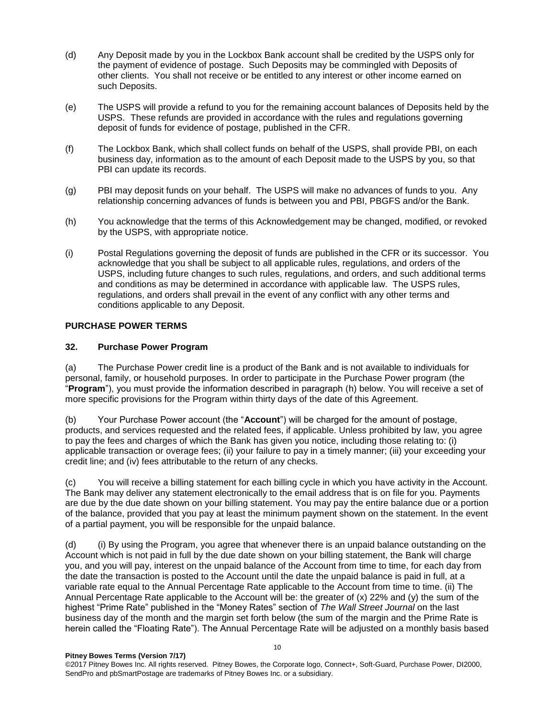- (d) Any Deposit made by you in the Lockbox Bank account shall be credited by the USPS only for the payment of evidence of postage. Such Deposits may be commingled with Deposits of other clients. You shall not receive or be entitled to any interest or other income earned on such Deposits.
- (e) The USPS will provide a refund to you for the remaining account balances of Deposits held by the USPS. These refunds are provided in accordance with the rules and regulations governing deposit of funds for evidence of postage, published in the CFR.
- (f) The Lockbox Bank, which shall collect funds on behalf of the USPS, shall provide PBI, on each business day, information as to the amount of each Deposit made to the USPS by you, so that PBI can update its records.
- (g) PBI may deposit funds on your behalf. The USPS will make no advances of funds to you. Any relationship concerning advances of funds is between you and PBI, PBGFS and/or the Bank.
- (h) You acknowledge that the terms of this Acknowledgement may be changed, modified, or revoked by the USPS, with appropriate notice.
- (i) Postal Regulations governing the deposit of funds are published in the CFR or its successor. You acknowledge that you shall be subject to all applicable rules, regulations, and orders of the USPS, including future changes to such rules, regulations, and orders, and such additional terms and conditions as may be determined in accordance with applicable law. The USPS rules, regulations, and orders shall prevail in the event of any conflict with any other terms and conditions applicable to any Deposit.

## **PURCHASE POWER TERMS**

### **32. Purchase Power Program**

(a) The Purchase Power credit line is a product of the Bank and is not available to individuals for personal, family, or household purposes. In order to participate in the Purchase Power program (the "**Program**"), you must provide the information described in paragraph (h) below. You will receive a set of more specific provisions for the Program within thirty days of the date of this Agreement.

(b) Your Purchase Power account (the "**Account**") will be charged for the amount of postage, products, and services requested and the related fees, if applicable. Unless prohibited by law, you agree to pay the fees and charges of which the Bank has given you notice, including those relating to: (i) applicable transaction or overage fees; (ii) your failure to pay in a timely manner; (iii) your exceeding your credit line; and (iv) fees attributable to the return of any checks.

(c) You will receive a billing statement for each billing cycle in which you have activity in the Account. The Bank may deliver any statement electronically to the email address that is on file for you. Payments are due by the due date shown on your billing statement. You may pay the entire balance due or a portion of the balance, provided that you pay at least the minimum payment shown on the statement. In the event of a partial payment, you will be responsible for the unpaid balance.

(d) (i) By using the Program, you agree that whenever there is an unpaid balance outstanding on the Account which is not paid in full by the due date shown on your billing statement, the Bank will charge you, and you will pay, interest on the unpaid balance of the Account from time to time, for each day from the date the transaction is posted to the Account until the date the unpaid balance is paid in full, at a variable rate equal to the Annual Percentage Rate applicable to the Account from time to time. (ii) The Annual Percentage Rate applicable to the Account will be: the greater of (x) 22% and (y) the sum of the highest "Prime Rate" published in the "Money Rates" section of *The Wall Street Journal* on the last business day of the month and the margin set forth below (the sum of the margin and the Prime Rate is herein called the "Floating Rate"). The Annual Percentage Rate will be adjusted on a monthly basis based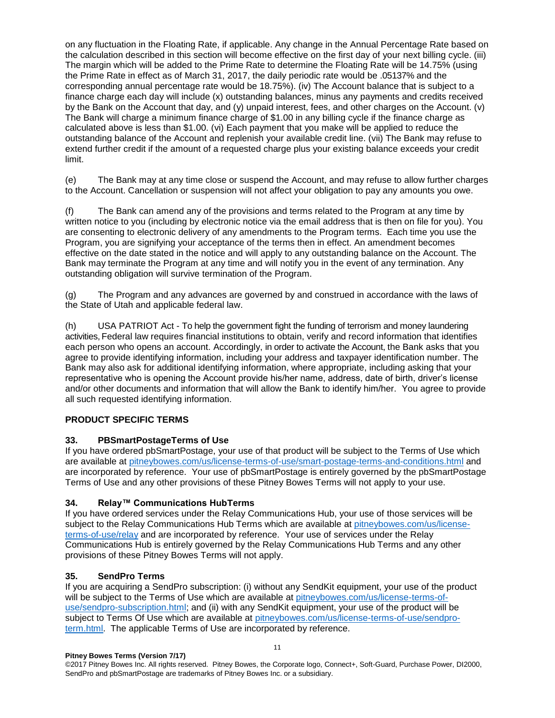on any fluctuation in the Floating Rate, if applicable. Any change in the Annual Percentage Rate based on the calculation described in this section will become effective on the first day of your next billing cycle. (iii) The margin which will be added to the Prime Rate to determine the Floating Rate will be 14.75% (using the Prime Rate in effect as of March 31, 2017, the daily periodic rate would be .05137% and the corresponding annual percentage rate would be 18.75%). (iv) The Account balance that is subject to a finance charge each day will include (x) outstanding balances, minus any payments and credits received by the Bank on the Account that day, and (y) unpaid interest, fees, and other charges on the Account. (v) The Bank will charge a minimum finance charge of \$1.00 in any billing cycle if the finance charge as calculated above is less than \$1.00. (vi) Each payment that you make will be applied to reduce the outstanding balance of the Account and replenish your available credit line. (vii) The Bank may refuse to extend further credit if the amount of a requested charge plus your existing balance exceeds your credit limit.

(e) The Bank may at any time close or suspend the Account, and may refuse to allow further charges to the Account. Cancellation or suspension will not affect your obligation to pay any amounts you owe.

(f) The Bank can amend any of the provisions and terms related to the Program at any time by written notice to you (including by electronic notice via the email address that is then on file for you). You are consenting to electronic delivery of any amendments to the Program terms. Each time you use the Program, you are signifying your acceptance of the terms then in effect. An amendment becomes effective on the date stated in the notice and will apply to any outstanding balance on the Account. The Bank may terminate the Program at any time and will notify you in the event of any termination. Any outstanding obligation will survive termination of the Program.

(g) The Program and any advances are governed by and construed in accordance with the laws of the State of Utah and applicable federal law.

(h) USA PATRIOT Act - To help the government fight the funding of terrorism and money laundering activities, Federal law requires financial institutions to obtain, verify and record information that identifies each person who opens an account. Accordingly, in order to activate the Account, the Bank asks that you agree to provide identifying information, including your address and taxpayer identification number. The Bank may also ask for additional identifying information, where appropriate, including asking that your representative who is opening the Account provide his/her name, address, date of birth, driver's license and/or other documents and information that will allow the Bank to identify him/her. You agree to provide all such requested identifying information.

## **PRODUCT SPECIFIC TERMS**

## **33. PBSmartPostageTerms of Use**

If you have ordered pbSmartPostage, your use of that product will be subject to the Terms of Use which are available at [pitneybowes.com/us/license-terms-of-use/smart-postage-terms-and-conditions.html](http://www.pitneybowes.com/us/license-terms-of-use/smart-postage-terms-and-conditions.html) and are incorporated by reference. Your use of pbSmartPostage is entirely governed by the pbSmartPostage Terms of Use and any other provisions of these Pitney Bowes Terms will not apply to your use.

### **34. Relay™ Communications HubTerms**

If you have ordered services under the Relay Communications Hub, your use of those services will be subject to the Relay Communications Hub Terms which are available at [pitneybowes.com/us/license](http://www.pitneybowes.com/us/license-terms-of-use/relay)[terms-of-use/relay](http://www.pitneybowes.com/us/license-terms-of-use/relay) and are incorporated by reference. Your use of services under the Relay Communications Hub is entirely governed by the Relay Communications Hub Terms and any other provisions of these Pitney Bowes Terms will not apply.

### **35. SendPro Terms**

If you are acquiring a SendPro subscription: (i) without any SendKit equipment, your use of the product will be subject to the Terms of Use which are available at [pitneybowes.com/us/license-terms-of](http://www.pitneybowes.com/us/license-terms-of-use/sendpro-subscription.html)[use/sendpro-subscription.html;](http://www.pitneybowes.com/us/license-terms-of-use/sendpro-subscription.html) and (ii) with any SendKit equipment, your use of the product will be subject to Terms Of Use which are available at [pitneybowes.com/us/license-terms-of-use/sendpro](http://www.pitneybowes.com/us/license-terms-of-use/sendpro-term.html)[term.html.](http://www.pitneybowes.com/us/license-terms-of-use/sendpro-term.html) The applicable Terms of Use are incorporated by reference.

#### **Pitney Bowes Terms (Version 7/17)**

©2017 Pitney Bowes Inc. All rights reserved. Pitney Bowes, the Corporate logo, Connect+, Soft-Guard, Purchase Power, DI2000, SendPro and pbSmartPostage are trademarks of Pitney Bowes Inc. or a subsidiary.